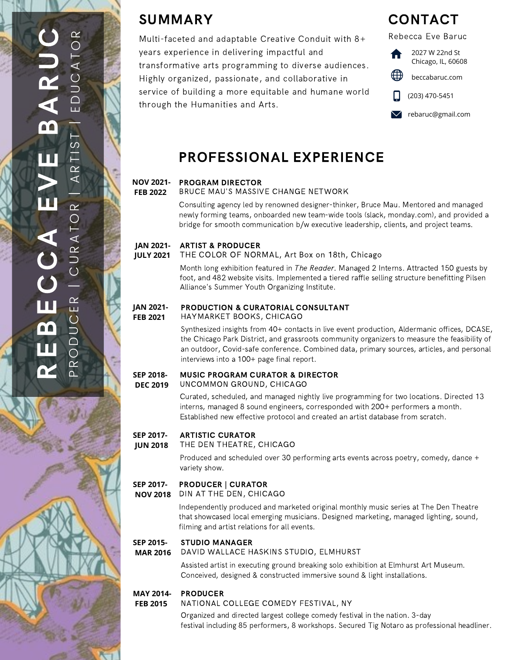# SUMMARY

Multi-faceted and adaptable Creative Conduit with 8+ years experience in delivering impactful and transformative arts programming to diverse audiences. Highly organized, passionate, and collaborative in service of building a more equitable and humane world through the Humanities and Arts.



Rebecca Eve Baruc



# PROFESSIONAL EXPERIENCE

### PROGRAM DIRECTOR **NOV 2021-**

### BRUCE MAU'S MASSIVE CHANGE NETWORK **FEB 2022**

Consulting agency led by renowned designer-thinker, Bruce Mau. Mentored and managed newly forming teams, onboarded new team-wide tools (slack, monday.com), and provided a bridge for smooth communication b/w executive leadership, clients, and project teams.

### ARTIST & PRODUCER **JAN 2021-**

### THE COLOR OF NORMAL, Art Box on 18th, Chicago **JULY 2021**

Month long exhibition featured in The Reader. Managed 2 Interns. Attracted 150 guests by foot, and 482 website visits. Implemented a tiered raffle selling structure benefitting Pilsen Alliance's Summer Youth Organizing Institute.

### PRODUCTION & CURATORIAL CONSULTANT **JAN 2021-**

### HAYMARKET BOOKS, CHICAGO **FEB 2021**

Synthesized insights from 40+ contacts in live event production, Aldermanic offices, DCASE, the Chicago Park District, and grassroots community organizers to measure the feasibility of an outdoor, Covid-safe conference. Combined data, primary sources, articles, and personal interviews into a 100+ page final report.

### MUSIC PROGRAM CURATOR & DIRECTOR **SEP 2018-**

### UNCOMMON GROUND, CHICAGO **DEC 2019**

Curated, scheduled, and managed nightly live programming for two locations. Directed 13 interns, managed 8 sound engineers, corresponded with 200+ performers a month. Established new effective protocol and created an artist database from scratch.

### ARTISTIC CURATOR **SEP 2017-**

# THE DEN THEATRE, CHICAGO **JUN 2018**

Produced and scheduled over 30 performing arts events across poetry, comedy, dance + variety show.

### PRODUCER | CURATOR **SEP 2017-**

### DIN AT THE DEN, CHICAGO **NOV 2018**

Independently produced and marketed original monthly music series at The Den Theatre that showcased local emerging musicians. Designed marketing, managed lighting, sound, filming and artist relations for all events.

### STUDIO MANAGER **SEP 2015-**

# DAVID WALLACE HASKINS STUDIO, ELMHURST **MAR 2016**

Assisted artist in executing ground breaking solo exhibition at Elmhurst Art Museum. Conceived, designed & constructed immersive sound & light installations.

# PRODUCER **MAY 2014-**

# NATIONAL COLLEGE COMEDY FESTIVAL, NY **FEB 2015**

Organized and directed largest college comedy festival in the nation. 3-day festival including 85 performers, 8 workshops. Secured Tig Notaro as professional headliner.